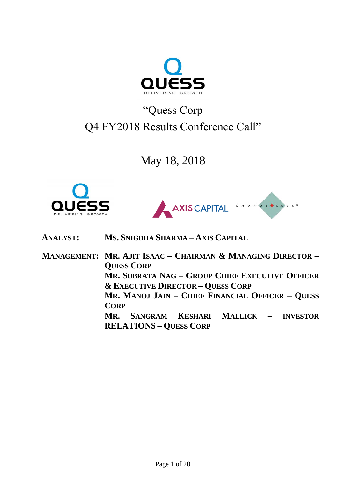

# "Quess Corp Q4 FY2018 Results Conference Call"

May 18, 2018





**ANALYST: MS. SNIGDHA SHARMA – AXIS CAPITAL**

**MANAGEMENT: MR. AJIT ISAAC – CHAIRMAN & MANAGING DIRECTOR – QUESS CORP MR. SUBRATA NAG – GROUP CHIEF EXECUTIVE OFFICER & EXECUTIVE DIRECTOR – QUESS CORP MR. MANOJ JAIN – CHIEF FINANCIAL OFFICER – QUESS CORP MR. SANGRAM KESHARI MALLICK – INVESTOR RELATIONS – QUESS CORP**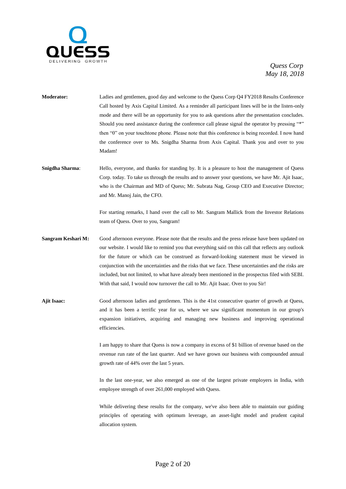

**Moderator:** Ladies and gentlemen, good day and welcome to the Quess Corp Q4 FY2018 Results Conference Call hosted by Axis Capital Limited. As a reminder all participant lines will be in the listen-only mode and there will be an opportunity for you to ask questions after the presentation concludes. Should you need assistance during the conference call please signal the operator by pressing "\*" then "0" on your touchtone phone. Please note that this conference is being recorded. I now hand the conference over to Ms. Snigdha Sharma from Axis Capital. Thank you and over to you Madam!

**Snigdha Sharma**: Hello, everyone, and thanks for standing by. It is a pleasure to host the management of Quess Corp. today. To take us through the results and to answer your questions, we have Mr. Ajit Isaac, who is the Chairman and MD of Quess; Mr. Subrata Nag, Group CEO and Executive Director; and Mr. Manoj Jain, the CFO.

> For starting remarks, I hand over the call to Mr. Sangram Mallick from the Investor Relations team of Quess. Over to you, Sangram!

- **Sangram Keshari M:** Good afternoon everyone. Please note that the results and the press release have been updated on our website. I would like to remind you that everything said on this call that reflects any outlook for the future or which can be construed as forward-looking statement must be viewed in conjunction with the uncertainties and the risks that we face. These uncertainties and the risks are included, but not limited, to what have already been mentioned in the prospectus filed with SEBI. With that said, I would now turnover the call to Mr. Ajit Isaac. Over to you Sir!
- **Ajit Isaac:** Good afternoon ladies and gentlemen. This is the 41st consecutive quarter of growth at Quess, and it has been a terrific year for us, where we saw significant momentum in our group's expansion initiatives, acquiring and managing new business and improving operational efficiencies.

I am happy to share that Quess is now a company in excess of \$1 billion of revenue based on the revenue run rate of the last quarter. And we have grown our business with compounded annual growth rate of 44% over the last 5 years.

In the last one-year, we also emerged as one of the largest private employers in India, with employee strength of over 261,000 employed with Quess.

While delivering these results for the company, we've also been able to maintain our guiding principles of operating with optimum leverage, an asset-light model and prudent capital allocation system.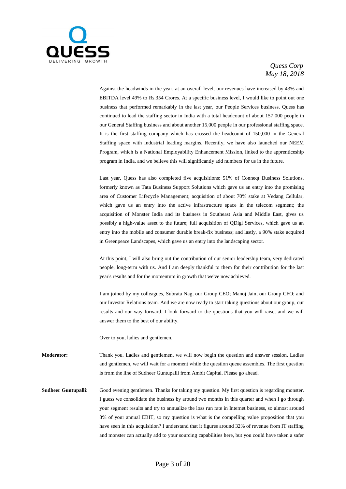

Against the headwinds in the year, at an overall level, our revenues have increased by 43% and EBITDA level 49% to Rs.354 Crores. At a specific business level, I would like to point out one business that performed remarkably in the last year, our People Services business. Quess has continued to lead the staffing sector in India with a total headcount of about 157,000 people in our General Staffing business and about another 15,000 people in our professional staffing space. It is the first staffing company which has crossed the headcount of 150,000 in the General Staffing space with industrial leading margins. Recently, we have also launched our NEEM Program, which is a National Employability Enhancement Mission, linked to the apprenticeship program in India, and we believe this will significantly add numbers for us in the future.

Last year, Quess has also completed five acquisitions: 51% of Conneqt Business Solutions, formerly known as Tata Business Support Solutions which gave us an entry into the promising area of Customer Lifecycle Management; acquisition of about 70% stake at Vedang Cellular, which gave us an entry into the active infrastructure space in the telecom segment; the acquisition of Monster India and its business in Southeast Asia and Middle East, gives us possibly a high-value asset to the future; full acquisition of QDigi Services, which gave us an entry into the mobile and consumer durable break-fix business; and lastly, a 90% stake acquired in Greenpeace Landscapes, which gave us an entry into the landscaping sector.

At this point, I will also bring out the contribution of our senior leadership team, very dedicated people, long-term with us. And I am deeply thankful to them for their contribution for the last year's results and for the momentum in growth that we've now achieved.

I am joined by my colleagues, Subrata Nag, our Group CEO; Manoj Jain, our Group CFO; and our Investor Relations team. And we are now ready to start taking questions about our group, our results and our way forward. I look forward to the questions that you will raise, and we will answer them to the best of our ability.

Over to you, ladies and gentlemen.

**Moderator:** Thank you. Ladies and gentlemen, we will now begin the question and answer session. Ladies and gentlemen, we will wait for a moment while the question queue assembles. The first question is from the line of Sudheer Guntupalli from Ambit Capital. Please go ahead.

**Sudheer Guntupalli:** Good evening gentlemen. Thanks for taking my question. My first question is regarding monster. I guess we consolidate the business by around two months in this quarter and when I go through your segment results and try to annualize the loss run rate in Internet business, so almost around 8% of your annual EBIT, so my question is what is the compelling value proposition that you have seen in this acquisition? I understand that it figures around 32% of revenue from IT staffing and monster can actually add to your sourcing capabilities here, but you could have taken a safer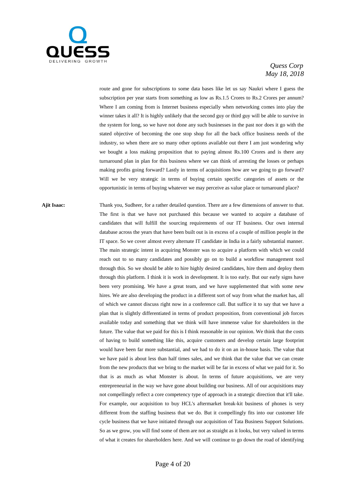

route and gone for subscriptions to some data bases like let us say Naukri where I guess the subscription per year starts from something as low as Rs.1.5 Crores to Rs.2 Crores per annum? Where I am coming from is Internet business especially when networking comes into play the winner takes it all? It is highly unlikely that the second guy or third guy will be able to survive in the system for long, so we have not done any such businesses in the past nor does it go with the stated objective of becoming the one stop shop for all the back office business needs of the industry, so when there are so many other options available out there I am just wondering why we bought a loss making proposition that to paying almost Rs.100 Crores and is there any turnaround plan in plan for this business where we can think of arresting the losses or perhaps making profits going forward? Lastly in terms of acquisitions how are we going to go forward? Will we be very strategic in terms of buying certain specific categories of assets or the opportunistic in terms of buying whatever we may perceive as value place or turnaround place?

**Ajit Isaac:** Thank you, Sudheer, for a rather detailed question. There are a few dimensions of answer to that. The first is that we have not purchased this because we wanted to acquire a database of candidates that will fulfill the sourcing requirements of our IT business. Our own internal database across the years that have been built out is in excess of a couple of million people in the IT space. So we cover almost every alternate IT candidate in India in a fairly substantial manner. The main strategic intent in acquiring Monster was to acquire a platform with which we could reach out to so many candidates and possibly go on to build a workflow management tool through this. So we should be able to hire highly desired candidates, hire them and deploy them through this platform. I think it is work in development. It is too early. But our early signs have been very promising. We have a great team, and we have supplemented that with some new hires. We are also developing the product in a different sort of way from what the market has, all of which we cannot discuss right now in a conference call. But suffice it to say that we have a plan that is slightly differentiated in terms of product proposition, from conventional job forces available today and something that we think will have immense value for shareholders in the future. The value that we paid for this is I think reasonable in our opinion. We think that the costs of having to build something like this, acquire customers and develop certain large footprint would have been far more substantial, and we had to do it on an in-house basis. The value that we have paid is about less than half times sales, and we think that the value that we can create from the new products that we bring to the market will be far in excess of what we paid for it. So that is as much as what Monster is about. In terms of future acquisitions, we are very entrepreneurial in the way we have gone about building our business. All of our acquisitions may not compellingly reflect a core competency type of approach in a strategic direction that it'll take. For example, our acquisition to buy HCL's aftermarket break-kit business of phones is very different from the staffing business that we do. But it compellingly fits into our customer life cycle business that we have initiated through our acquisition of Tata Business Support Solutions. So as we grow, you will find some of them are not as straight as it looks, but very valued in terms of what it creates for shareholders here. And we will continue to go down the road of identifying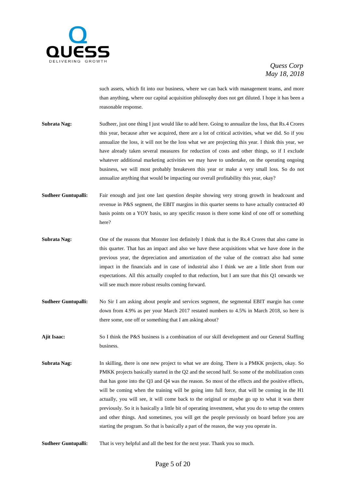

such assets, which fit into our business, where we can back with management teams, and more than anything, where our capital acquisition philosophy does not get diluted. I hope it has been a reasonable response.

- **Subrata Nag:** Sudheer, just one thing I just would like to add here. Going to annualize the loss, that Rs.4 Crores this year, because after we acquired, there are a lot of critical activities, what we did. So if you annualize the loss, it will not be the loss what we are projecting this year. I think this year, we have already taken several measures for reduction of costs and other things, so if I exclude whatever additional marketing activities we may have to undertake, on the operating ongoing business, we will most probably breakeven this year or make a very small loss. So do not annualize anything that would be impacting our overall profitability this year, okay?
- **Sudheer Guntupalli:** Fair enough and just one last question despite showing very strong growth in headcount and revenue in P&S segment, the EBIT margins in this quarter seems to have actually contracted 40 basis points on a YOY basis, so any specific reason is there some kind of one off or something here?
- **Subrata Nag:** One of the reasons that Monster lost definitely I think that is the Rs.4 Crores that also came in this quarter. That has an impact and also we have these acquisitions what we have done in the previous year, the depreciation and amortization of the value of the contract also had some impact in the financials and in case of industrial also I think we are a little short from our expectations. All this actually coupled to that reduction, but I am sure that this Q1 onwards we will see much more robust results coming forward.
- **Sudheer Guntupalli:** No Sir I am asking about people and services segment, the segmental EBIT margin has come down from 4.9% as per your March 2017 restated numbers to 4.5% in March 2018, so here is there some, one off or something that I am asking about?

**Ajit Isaac:** So I think the P&S business is a combination of our skill development and our General Staffing business.

- **Subrata Nag:** In skilling, there is one new project to what we are doing. There is a PMKK projects, okay. So PMKK projects basically started in the Q2 and the second half. So some of the mobilization costs that has gone into the Q3 and Q4 was the reason. So most of the effects and the positive effects, will be coming when the training will be going into full force, that will be coming in the H1 actually, you will see, it will come back to the original or maybe go up to what it was there previously. So it is basically a little bit of operating investment, what you do to setup the centers and other things. And sometimes, you will get the people previously on board before you are starting the program. So that is basically a part of the reason, the way you operate in.
- **Sudheer Guntupalli:** That is very helpful and all the best for the next year. Thank you so much.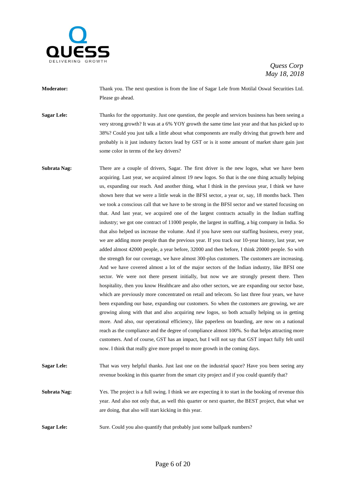

**Moderator:** Thank you. The next question is from the line of Sagar Lele from Motilal Oswal Securities Ltd. Please go ahead.

**Sagar Lele:** Thanks for the opportunity. Just one question, the people and services business has been seeing a very strong growth? It was at a 6% YOY growth the same time last year and that has picked up to 38%? Could you just talk a little about what components are really driving that growth here and probably is it just industry factors lead by GST or is it some amount of market share gain just some color in terms of the key drivers?

Subrata Nag: There are a couple of drivers, Sagar. The first driver is the new logos, what we have been acquiring. Last year, we acquired almost 19 new logos. So that is the one thing actually helping us, expanding our reach. And another thing, what I think in the previous year, I think we have shown here that we were a little weak in the BFSI sector, a year or, say, 18 months back. Then we took a conscious call that we have to be strong in the BFSI sector and we started focusing on that. And last year, we acquired one of the largest contracts actually in the Indian staffing industry; we got one contract of 11000 people, the largest in staffing, a big company in India. So that also helped us increase the volume. And if you have seen our staffing business, every year, we are adding more people than the previous year. If you track our 10-year history, last year, we added almost 42000 people, a year before, 32000 and then before, I think 20000 people. So with the strength for our coverage, we have almost 300-plus customers. The customers are increasing. And we have covered almost a lot of the major sectors of the Indian industry, like BFSI one sector. We were not there present initially, but now we are strongly present there. Then hospitality, then you know Healthcare and also other sectors, we are expanding our sector base, which are previously more concentrated on retail and telecom. So last three four years, we have been expanding our base, expanding our customers. So when the customers are growing, we are growing along with that and also acquiring new logos, so both actually helping us in getting more. And also, our operational efficiency, like paperless on boarding, are now on a national reach as the compliance and the degree of compliance almost 100%. So that helps attracting more customers. And of course, GST has an impact, but I will not say that GST impact fully felt until now. I think that really give more propel to more growth in the coming days.

**Sagar Lele:** That was very helpful thanks. Just last one on the industrial space? Have you been seeing any revenue booking in this quarter from the smart city project and if you could quantify that?

**Subrata Nag:** Yes. The project is a full swing. I think we are expecting it to start in the booking of revenue this year. And also not only that, as well this quarter or next quarter, the BEST project, that what we are doing, that also will start kicking in this year.

**Sagar Lele:** Sure. Could you also quantify that probably just some ballpark numbers?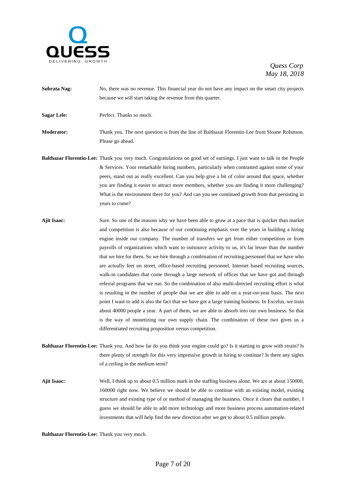

- **Subrata Nag:** No, there was no revenue. This financial year do not have any impact on the smart city projects because we will start taking the revenue from this quarter.
- **Sagar Lele:** Perfect. Thanks so much.
- **Moderator:** Thank you. The next question is from the line of Balthazar Florentin-Lee from Sloane Robinson. Please go ahead.
- **Balthazar Florentin-Lee:** Thank you very much. Congratulations on good set of earnings. I just want to talk in the People & Services. Your remarkable hiring numbers, particularly when contrasted against some of your peers, stand out as really excellent. Can you help give a bit of color around that space, whether you are finding it easier to attract more members, whether you are finding it more challenging? What is the environment there for you? And can you see continued growth from that persisting in years to come?
- **Ajit Isaac:** Sure. So one of the reasons why we have been able to grow at a pace that is quicker than market and competition is also because of our continuing emphasis over the years in building a hiring engine inside our company. The number of transfers we get from either competition or from payrolls of organizations which want to outsource activity to us, it's far lesser than the number that we hire for them. So we hire through a combination of recruiting personnel that we have who are actually feet on street, office-based recruiting personnel, Internet based recruiting sources, walk-in candidates that come through a large network of offices that we have got and through referral programs that we run. So the combination of also multi-directed recruiting effort is what is resulting in the number of people that we are able to add on a year-on-year basis. The next point I want to add is also the fact that we have got a large training business. In Excelus, we train about 40000 people a year. A part of them, we are able to absorb into our own business. So that is the way of monetizing our own supply chain. The combination of these two gives us a differentiated recruiting proposition versus competition.
- **Balthazar Florentin-Lee:** Thank you. And how far do you think your engine could go? Is it starting to grow with strain? Is there plenty of strength for this very impressive growth in hiring to continue? Is there any sights of a ceiling in the medium term?
- **Ajit Isaac:** Well, I think up to about 0.5 million mark in the staffing business alone. We are at about 150000, 160000 right now. We believe we should be able to continue with an existing model, existing structure and existing type of or method of managing the business. Once it clears that number, I guess we should be able to add more technology and more business process automation-related investments that will help find the new direction after we get to about 0.5 million people.

**Balthazar Florentin-Lee:** Thank you very much.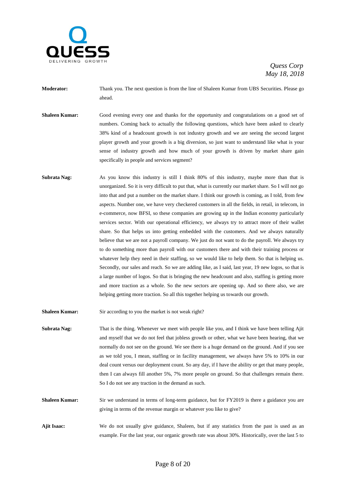

- **Moderator:** Thank you. The next question is from the line of Shaleen Kumar from UBS Securities. Please go ahead.
- **Shaleen Kumar:** Good evening every one and thanks for the opportunity and congratulations on a good set of numbers. Coming back to actually the following questions, which have been asked to clearly 38% kind of a headcount growth is not industry growth and we are seeing the second largest player growth and your growth is a big diversion, so just want to understand like what is your sense of industry growth and how much of your growth is driven by market share gain specifically in people and services segment?
- **Subrata Nag:** As you know this industry is still I think 80% of this industry, maybe more than that is unorganized. So it is very difficult to put that, what is currently our market share. So I will not go into that and put a number on the market share. I think our growth is coming, as I told, from few aspects. Number one, we have very checkered customers in all the fields, in retail, in telecom, in e-commerce, now BFSI, so these companies are growing up in the Indian economy particularly services sector. With our operational efficiency, we always try to attract more of their wallet share. So that helps us into getting embedded with the customers. And we always naturally believe that we are not a payroll company. We just do not want to do the payroll. We always try to do something more than payroll with our customers there and with their training process or whatever help they need in their staffing, so we would like to help them. So that is helping us. Secondly, our sales and reach. So we are adding like, as I said, last year, 19 new logos, so that is a large number of logos. So that is bringing the new headcount and also, staffing is getting more and more traction as a whole. So the new sectors are opening up. And so there also, we are helping getting more traction. So all this together helping us towards our growth.

**Shaleen Kumar:** Sir according to you the market is not weak right?

- **Subrata Nag:** That is the thing. Whenever we meet with people like you, and I think we have been telling Ajit and myself that we do not feel that jobless growth or other, what we have been hearing, that we normally do not see on the ground. We see there is a huge demand on the ground. And if you see as we told you, I mean, staffing or in facility management, we always have 5% to 10% in our deal count versus our deployment count. So any day, if I have the ability or get that many people, then I can always fill another 5%, 7% more people on ground. So that challenges remain there. So I do not see any traction in the demand as such.
- **Shaleen Kumar:** Sir we understand in terms of long-term guidance, but for FY2019 is there a guidance you are giving in terms of the revenue margin or whatever you like to give?
- **Ajit Isaac:** We do not usually give guidance, Shaleen, but if any statistics from the past is used as an example. For the last year, our organic growth rate was about 30%. Historically, over the last 5 to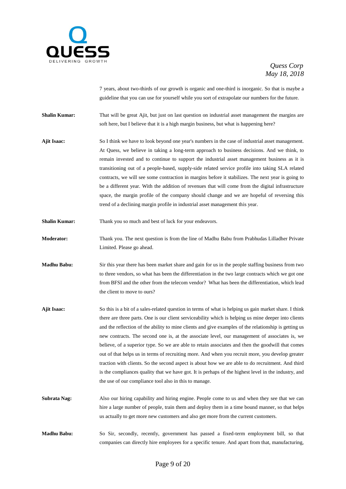

7 years, about two-thirds of our growth is organic and one-third is inorganic. So that is maybe a guideline that you can use for yourself while you sort of extrapolate our numbers for the future.

**Shalin Kumar:** That will be great Ajit, but just on last question on industrial asset management the margins are soft here, but I believe that it is a high margin business, but what is happening here?

- **Ajit Isaac:** So I think we have to look beyond one year's numbers in the case of industrial asset management. At Quess, we believe in taking a long-term approach to business decisions. And we think, to remain invested and to continue to support the industrial asset management business as it is transitioning out of a people-based, supply-side related service profile into taking SLA related contracts, we will see some contraction in margins before it stabilizes. The next year is going to be a different year. With the addition of revenues that will come from the digital infrastructure space, the margin profile of the company should change and we are hopeful of reversing this trend of a declining margin profile in industrial asset management this year.
- **Shalin Kumar:** Thank you so much and best of luck for your endeavors.
- **Moderator:** Thank you. The next question is from the line of Madhu Babu from Prabhudas Lilladher Private Limited. Please go ahead.
- **Madhu Babu:** Sir this year there has been market share and gain for us in the people staffing business from two to three vendors, so what has been the differentiation in the two large contracts which we got one from BFSI and the other from the telecom vendor? What has been the differentiation, which lead the client to move to ours?
- **Ajit Isaac:** So this is a bit of a sales-related question in terms of what is helping us gain market share. I think there are three parts. One is our client serviceability which is helping us mine deeper into clients and the reflection of the ability to mine clients and give examples of the relationship is getting us new contracts. The second one is, at the associate level, our management of associates is, we believe, of a superior type. So we are able to retain associates and then the goodwill that comes out of that helps us in terms of recruiting more. And when you recruit more, you develop greater traction with clients. So the second aspect is about how we are able to do recruitment. And third is the compliances quality that we have got. It is perhaps of the highest level in the industry, and the use of our compliance tool also in this to manage.
- **Subrata Nag:** Also our hiring capability and hiring engine. People come to us and when they see that we can hire a large number of people, train them and deploy them in a time bound manner, so that helps us actually to get more new customers and also get more from the current customers.
- **Madhu Babu:** So Sir, secondly, recently, government has passed a fixed-term employment bill, so that companies can directly hire employees for a specific tenure. And apart from that, manufacturing,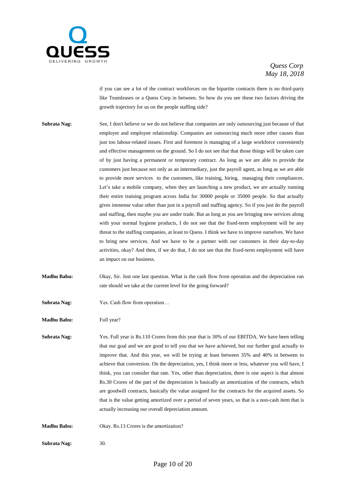

if you can see a lot of the contract workforces on the bipartite contracts there is no third-party like Teamleases or a Quess Corp in between. So how do you see these two factors driving the growth trajectory for us on the people staffing side?

- **Subrata Nag:** See, I don't believe or we do not believe that companies are only outsourcing just because of that employer and employee relationship. Companies are outsourcing much more other causes than just too labour-related issues. First and foremost is managing of a large workforce conveniently and effective management on the ground. So I do not see that that those things will be taken care of by just having a permanent or temporary contract. As long as we are able to provide the customers just because not only as an intermediary, just the payroll agent, as long as we are able to provide more services to the customers, like training, hiring, managing their compliances. Let's take a mobile company, when they are launching a new product, we are actually running their entire training program across India for 30000 people or 35000 people. So that actually gives immense value other than just in a payroll and staffing agency. So if you just do the payroll and staffing, then maybe you are under trade. But as long as you are bringing new services along with your normal hygiene products, I do not see that the fixed-term employment will be any threat to the staffing companies, at least to Quess. I think we have to improve ourselves. We have to bring new services. And we have to be a partner with our customers in their day-to-day activities, okay? And then, if we do that, I do not see that the fixed-term employment will have an impact on our business.
- **Madhu Babu:** Okay, Sir. Just one last question. What is the cash flow from operation and the depreciation run rate should we take at the current level for the going forward?
- **Subrata Nag:** Yes. Cash flow from operation…

**Madhu Babu:** Full year?

**Subrata Nag:** Yes. Full year is Rs.110 Crores from this year that is 30% of our EBITDA. We have been telling that our goal and we are good to tell you that we have achieved, but our further goal actually to improve that. And this year, we will be trying at least between 35% and 40% in between to achieve that conversion. On the depreciation, yes, I think more or less, whatever you will have, I think, you can consider that rate. Yes, other than depreciation, there is one aspect is that almost Rs.30 Crores of the part of the depreciation is basically an amortization of the contracts, which are goodwill contracts, basically the value assigned for the contracts for the acquired assets. So that is the value getting amortized over a period of seven years, so that is a non-cash item that is actually increasing our overall depreciation amount.

**Madhu Babu:** Okay. Rs.13 Crores is the amortization?

**Subrata Nag:** 30.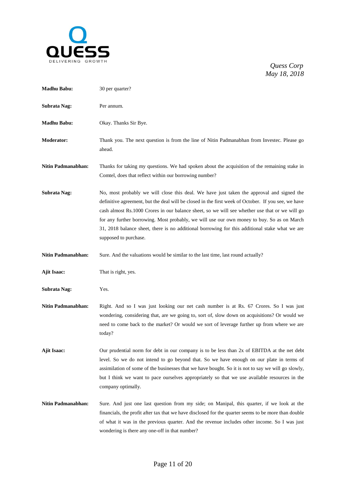

| <b>Madhu Babu:</b>  | 30 per quarter?                                                                                                                                                                                                                                                                                                                                                                                                                                                                                                             |
|---------------------|-----------------------------------------------------------------------------------------------------------------------------------------------------------------------------------------------------------------------------------------------------------------------------------------------------------------------------------------------------------------------------------------------------------------------------------------------------------------------------------------------------------------------------|
| <b>Subrata Nag:</b> | Per annum.                                                                                                                                                                                                                                                                                                                                                                                                                                                                                                                  |
| <b>Madhu Babu:</b>  | Okay. Thanks Sir Bye.                                                                                                                                                                                                                                                                                                                                                                                                                                                                                                       |
| Moderator:          | Thank you. The next question is from the line of Nitin Padmanabhan from Investec. Please go<br>ahead.                                                                                                                                                                                                                                                                                                                                                                                                                       |
| Nitin Padmanabhan:  | Thanks for taking my questions. We had spoken about the acquisition of the remaining stake in<br>Comtel, does that reflect within our borrowing number?                                                                                                                                                                                                                                                                                                                                                                     |
| Subrata Nag:        | No, most probably we will close this deal. We have just taken the approval and signed the<br>definitive agreement, but the deal will be closed in the first week of October. If you see, we have<br>cash almost Rs.1000 Crores in our balance sheet, so we will see whether use that or we will go<br>for any further borrowing. Most probably, we will use our own money to buy. So as on March<br>31, 2018 balance sheet, there is no additional borrowing for this additional stake what we are<br>supposed to purchase. |
| Nitin Padmanabhan:  | Sure. And the valuations would be similar to the last time, last round actually?                                                                                                                                                                                                                                                                                                                                                                                                                                            |
| <b>Ajit Isaac:</b>  | That is right, yes.                                                                                                                                                                                                                                                                                                                                                                                                                                                                                                         |
| Subrata Nag:        | Yes.                                                                                                                                                                                                                                                                                                                                                                                                                                                                                                                        |
| Nitin Padmanabhan:  | Right. And so I was just looking our net cash number is at Rs. 67 Crores. So I was just<br>wondering, considering that, are we going to, sort of, slow down on acquisitions? Or would we<br>need to come back to the market? Or would we sort of leverage further up from where we are<br>today?                                                                                                                                                                                                                            |
| Ajit Isaac:         | Our prudential norm for debt in our company is to be less than 2x of EBITDA at the net debt<br>level. So we do not intend to go beyond that. So we have enough on our plate in terms of<br>assimilation of some of the businesses that we have bought. So it is not to say we will go slowly,<br>but I think we want to pace ourselves appropriately so that we use available resources in the<br>company optimally.                                                                                                        |
| Nitin Padmanabhan:  | Sure. And just one last question from my side; on Manipal, this quarter, if we look at the<br>financials, the profit after tax that we have disclosed for the quarter seems to be more than double<br>of what it was in the previous quarter. And the revenue includes other income. So I was just<br>wondering is there any one-off in that number?                                                                                                                                                                        |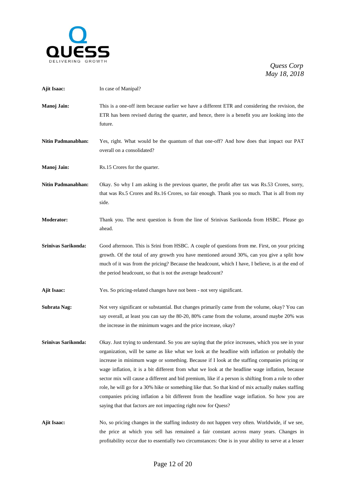

| <b>Ajit Isaac:</b>        | In case of Manipal?                                                                                                                                                                                                                                                                                                                                                                                                                                                                                                                                                                                                                                                                                                                                                                        |
|---------------------------|--------------------------------------------------------------------------------------------------------------------------------------------------------------------------------------------------------------------------------------------------------------------------------------------------------------------------------------------------------------------------------------------------------------------------------------------------------------------------------------------------------------------------------------------------------------------------------------------------------------------------------------------------------------------------------------------------------------------------------------------------------------------------------------------|
| Manoj Jain:               | This is a one-off item because earlier we have a different ETR and considering the revision, the<br>ETR has been revised during the quarter, and hence, there is a benefit you are looking into the<br>future.                                                                                                                                                                                                                                                                                                                                                                                                                                                                                                                                                                             |
| <b>Nitin Padmanabhan:</b> | Yes, right. What would be the quantum of that one-off? And how does that impact our PAT<br>overall on a consolidated?                                                                                                                                                                                                                                                                                                                                                                                                                                                                                                                                                                                                                                                                      |
| Manoj Jain:               | Rs.15 Crores for the quarter.                                                                                                                                                                                                                                                                                                                                                                                                                                                                                                                                                                                                                                                                                                                                                              |
| <b>Nitin Padmanabhan:</b> | Okay. So why I am asking is the previous quarter, the profit after tax was Rs.53 Crores, sorry,<br>that was Rs.5 Crores and Rs.16 Crores, so fair enough. Thank you so much. That is all from my<br>side.                                                                                                                                                                                                                                                                                                                                                                                                                                                                                                                                                                                  |
| Moderator:                | Thank you. The next question is from the line of Srinivas Sarikonda from HSBC. Please go<br>ahead.                                                                                                                                                                                                                                                                                                                                                                                                                                                                                                                                                                                                                                                                                         |
| Srinivas Sarikonda:       | Good afternoon. This is Srini from HSBC. A couple of questions from me. First, on your pricing<br>growth. Of the total of any growth you have mentioned around 30%, can you give a split how<br>much of it was from the pricing? Because the headcount, which I have, I believe, is at the end of<br>the period headcount, so that is not the average headcount?                                                                                                                                                                                                                                                                                                                                                                                                                           |
| <b>Ajit Isaac:</b>        | Yes. So pricing-related changes have not been - not very significant.                                                                                                                                                                                                                                                                                                                                                                                                                                                                                                                                                                                                                                                                                                                      |
| Subrata Nag:              | Not very significant or substantial. But changes primarily came from the volume, okay? You can<br>say overall, at least you can say the 80-20, 80% came from the volume, around maybe 20% was<br>the increase in the minimum wages and the price increase, okay?                                                                                                                                                                                                                                                                                                                                                                                                                                                                                                                           |
| Srinivas Sarikonda:       | Okay. Just trying to understand. So you are saying that the price increases, which you see in your<br>organization, will be same as like what we look at the headline with inflation or probably the<br>increase in minimum wage or something. Because if I look at the staffing companies pricing or<br>wage inflation, it is a bit different from what we look at the headline wage inflation, because<br>sector mix will cause a different and bid premium, like if a person is shifting from a role to other<br>role, he will go for a 30% hike or something like that. So that kind of mix actually makes staffing<br>companies pricing inflation a bit different from the headline wage inflation. So how you are<br>saying that that factors are not impacting right now for Quess? |
| Ajit Isaac:               | No, so pricing changes in the staffing industry do not happen very often. Worldwide, if we see,<br>the price at which you sell has remained a fair constant across many years. Changes in<br>profitability occur due to essentially two circumstances: One is in your ability to serve at a lesser                                                                                                                                                                                                                                                                                                                                                                                                                                                                                         |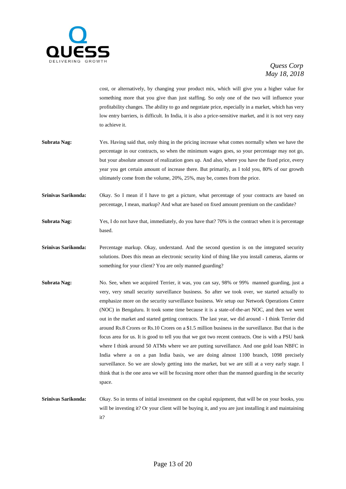

cost, or alternatively, by changing your product mix, which will give you a higher value for something more that you give than just staffing. So only one of the two will influence your profitability changes. The ability to go and negotiate price, especially in a market, which has very low entry barriers, is difficult. In India, it is also a price-sensitive market, and it is not very easy to achieve it.

- **Subrata Nag:** Yes. Having said that, only thing in the pricing increase what comes normally when we have the percentage in our contracts, so when the minimum wages goes, so your percentage may not go, but your absolute amount of realization goes up. And also, where you have the fixed price, every year you get certain amount of increase there. But primarily, as I told you, 80% of our growth ultimately come from the volume, 20%, 25%, may be, comes from the price.
- **Srinivas Sarikonda:** Okay. So I mean if I have to get a picture, what percentage of your contracts are based on percentage, I mean, markup? And what are based on fixed amount premium on the candidate?
- **Subrata Nag:** Yes, I do not have that, immediately, do you have that? 70% is the contract when it is percentage based.
- **Srinivas Sarikonda:** Percentage markup. Okay, understand. And the second question is on the integrated security solutions. Does this mean an electronic security kind of thing like you install cameras, alarms or something for your client? You are only manned guarding?
- **Subrata Nag:** No. See, when we acquired Terrier, it was, you can say, 98% or 99% manned guarding, just a very, very small security surveillance business. So after we took over, we started actually to emphasize more on the security surveillance business. We setup our Network Operations Centre (NOC) in Bengaluru. It took some time because it is a state-of-the-art NOC, and then we went out in the market and started getting contracts. The last year, we did around - I think Terrier did around Rs.8 Crores or Rs.10 Crores on a \$1.5 million business in the surveillance. But that is the focus area for us. It is good to tell you that we got two recent contracts. One is with a PSU bank where I think around 50 ATMs where we are putting surveillance. And one gold loan NBFC in India where a on a pan India basis, we are doing almost 1100 branch, 1098 precisely surveillance. So we are slowly getting into the market, but we are still at a very early stage. I think that is the one area we will be focusing more other than the manned guarding in the security space.
- **Srinivas Sarikonda:** Okay. So in terms of initial investment on the capital equipment, that will be on your books, you will be investing it? Or your client will be buying it, and you are just installing it and maintaining it?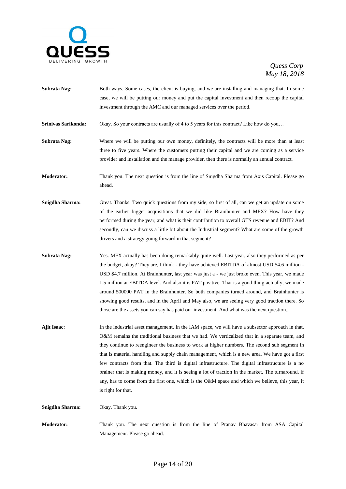

- **Subrata Nag:** Both ways. Some cases, the client is buying, and we are installing and managing that. In some case, we will be putting our money and put the capital investment and then recoup the capital investment through the AMC and our managed services over the period.
- **Srinivas Sarikonda:** Okay. So your contracts are usually of 4 to 5 years for this contract? Like how do you...

**Subrata Nag:** Where we will be putting our own money, definitely, the contracts will be more than at least three to five years. Where the customers putting their capital and we are coming as a service provider and installation and the manage provider, then there is normally an annual contract.

**Moderator:** Thank you. The next question is from the line of Snigdha Sharma from Axis Capital. Please go ahead.

- **Snigdha Sharma:** Great. Thanks. Two quick questions from my side; so first of all, can we get an update on some of the earlier bigger acquisitions that we did like Brainhunter and MFX? How have they performed during the year, and what is their contribution to overall GTS revenue and EBIT? And secondly, can we discuss a little bit about the Industrial segment? What are some of the growth drivers and a strategy going forward in that segment?
- **Subrata Nag:** Yes. MFX actually has been doing remarkably quite well. Last year, also they performed as per the budget, okay? They are, I think - they have achieved EBITDA of almost USD \$4.6 million - USD \$4.7 million. At Brainhunter, last year was just a - we just broke even. This year, we made 1.5 million at EBITDA level. And also it is PAT positive. That is a good thing actually; we made around 500000 PAT in the Brainhunter. So both companies turned around, and Brainhunter is showing good results, and in the April and May also, we are seeing very good traction there. So those are the assets you can say has paid our investment. And what was the next question...
- **Ajit Isaac:** In the industrial asset management. In the IAM space, we will have a subsector approach in that. O&M remains the traditional business that we had. We verticalized that in a separate team, and they continue to reengineer the business to work at higher numbers. The second sub segment in that is material handling and supply chain management, which is a new area. We have got a first few contracts from that. The third is digital infrastructure. The digital infrastructure is a no brainer that is making money, and it is seeing a lot of traction in the market. The turnaround, if any, has to come from the first one, which is the O&M space and which we believe, this year, it is right for that.

**Snigdha Sharma:** Okay. Thank you.

**Moderator:** Thank you. The next question is from the line of Pranav Bhavasar from ASA Capital Management. Please go ahead.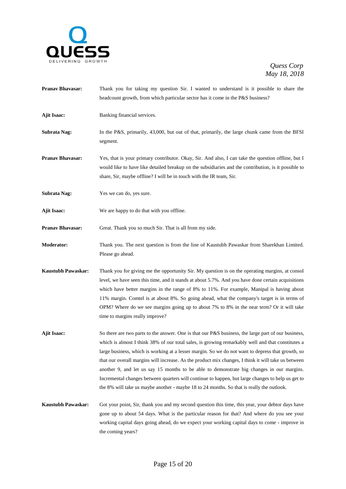

- **Pranav Bhavasar:** Thank you for taking my question Sir. I wanted to understand is it possible to share the headcount growth, from which particular sector has it come in the P&S business?
- **Ajit Isaac:** Banking financial services.
- **Subrata Nag:** In the P&S, primarily, 43,000, but out of that, primarily, the large chunk came from the BFSI segment.
- **Pranav Bhavasar:** Yes, that is your primary contributor. Okay, Sir. And also, I can take the question offline, but I would like to have like detailed breakup on the subsidiaries and the contribution, is it possible to share, Sir, maybe offline? I will be in touch with the IR team, Sir.
- **Subrata Nag:** Yes we can do, yes sure.
- **Ajit Isaac:** We are happy to do that with you offline.
- **Pranav Bhavasar:** Great. Thank you so much Sir. That is all from my side.
- **Moderator:** Thank you. The next question is from the line of Kaustubh Pawaskar from Sharekhan Limited. Please go ahead.
- **Kaustubh Pawaskar:** Thank you for giving me the opportunity Sir. My question is on the operating margins, at consol level, we have seen this time, and it stands at about 5.7%. And you have done certain acquisitions which have better margins in the range of 8% to 11%. For example, Manipal is having about 11% margin. Comtel is at about 8%. So going ahead, what the company's target is in terms of OPM? Where do we see margins going up to about 7% to 8% in the near term? Or it will take time to margins really improve?
- **Ajit Isaac:** So there are two parts to the answer. One is that our P&S business, the large part of our business, which is almost I think 38% of our total sales, is growing remarkably well and that constitutes a large business, which is working at a lesser margin. So we do not want to depress that growth, so that our overall margins will increase. As the product mix changes, I think it will take us between another 9, and let us say 15 months to be able to demonstrate big changes in our margins. Incremental changes between quarters will continue to happen, but large changes to help us get to the 8% will take us maybe another - maybe 18 to 24 months. So that is really the outlook.
- **Kaustubh Pawaskar:** Got your point, Sir, thank you and my second question this time, this year, your debtor days have gone up to about 54 days. What is the particular reason for that? And where do you see your working capital days going ahead, do we expect your working capital days to come - improve in the coming years?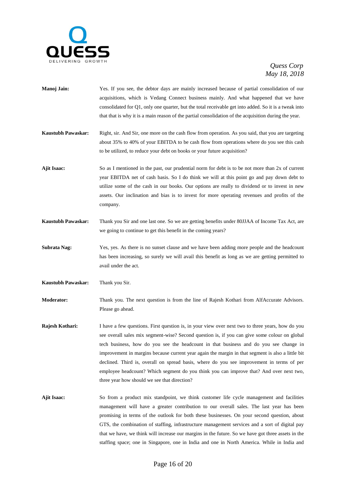

- **Manoj Jain:** Yes. If you see, the debtor days are mainly increased because of partial consolidation of our acquisitions, which is Vedang Connect business mainly. And what happened that we have consolidated for Q1, only one quarter, but the total receivable get into added. So it is a tweak into that that is why it is a main reason of the partial consolidation of the acquisition during the year.
- **Kaustubh Pawaskar:** Right, sir. And Sir, one more on the cash flow from operation. As you said, that you are targeting about 35% to 40% of your EBITDA to be cash flow from operations where do you see this cash to be utilized, to reduce your debt on books or your future acquisition?
- **Ajit Isaac:** So as I mentioned in the past, our prudential norm for debt is to be not more than 2x of current year EBITDA net of cash basis. So I do think we will at this point go and pay down debt to utilize some of the cash in our books. Our options are really to dividend or to invest in new assets. Our inclination and bias is to invest for more operating revenues and profits of the company.
- **Kaustubh Pawaskar:** Thank you Sir and one last one. So we are getting benefits under 80JJAA of Income Tax Act, are we going to continue to get this benefit in the coming years?
- **Subrata Nag:** Yes, yes. As there is no sunset clause and we have been adding more people and the headcount has been increasing, so surely we will avail this benefit as long as we are getting permitted to avail under the act.
- **Kaustubh Pawaskar:** Thank you Sir.

**Moderator:** Thank you. The next question is from the line of Rajesh Kothari from AlfAccurate Advisors. Please go ahead.

- **Rajesh Kothari:** I have a few questions. First question is, in your view over next two to three years, how do you see overall sales mix segment-wise? Second question is, if you can give some colour on global tech business, how do you see the headcount in that business and do you see change in improvement in margins because current year again the margin in that segment is also a little bit declined. Third is, overall on spread basis, where do you see improvement in terms of per employee headcount? Which segment do you think you can improve that? And over next two, three year how should we see that direction?
- **Ajit Isaac:** So from a product mix standpoint, we think customer life cycle management and facilities management will have a greater contribution to our overall sales. The last year has been promising in terms of the outlook for both these businesses. On your second question, about GTS, the combination of staffing, infrastructure management services and a sort of digital pay that we have, we think will increase our margins in the future. So we have got three assets in the staffing space; one in Singapore, one in India and one in North America. While in India and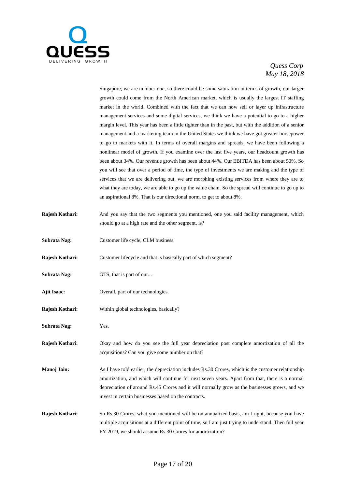

Singapore, we are number one, so there could be some saturation in terms of growth, our larger growth could come from the North American market, which is usually the largest IT staffing market in the world. Combined with the fact that we can now sell or layer up infrastructure management services and some digital services, we think we have a potential to go to a higher margin level. This year has been a little tighter than in the past, but with the addition of a senior management and a marketing team in the United States we think we have got greater horsepower to go to markets with it. In terms of overall margins and spreads, we have been following a nonlinear model of growth. If you examine over the last five years, our headcount growth has been about 34%. Our revenue growth has been about 44%. Our EBITDA has been about 50%. So you will see that over a period of time, the type of investments we are making and the type of services that we are delivering out, we are morphing existing services from where they are to what they are today, we are able to go up the value chain. So the spread will continue to go up to an aspirational 8%. That is our directional norm, to get to about 8%.

- **Rajesh Kothari:** And you say that the two segments you mentioned, one you said facility management, which should go at a high rate and the other segment, is?
- **Subrata Nag:** Customer life cycle, CLM business.
- **Rajesh Kothari:** Customer lifecycle and that is basically part of which segment?
- **Subrata Nag:** GTS, that is part of our...
- Ajit Isaac: Overall, part of our technologies.
- **Rajesh Kothari:** Within global technologies, basically?
- **Subrata Nag:** Yes.
- **Rajesh Kothari:** Okay and how do you see the full year depreciation post complete amortization of all the acquisitions? Can you give some number on that?
- **Manoj Jain:** As I have told earlier, the depreciation includes Rs.30 Crores, which is the customer relationship amortization, and which will continue for next seven years. Apart from that, there is a normal depreciation of around Rs.45 Crores and it will normally grow as the businesses grows, and we invest in certain businesses based on the contracts.
- **Rajesh Kothari:** So Rs.30 Crores, what you mentioned will be on annualized basis, am I right, because you have multiple acquisitions at a different point of time, so I am just trying to understand. Then full year FY 2019, we should assume Rs.30 Crores for amortization?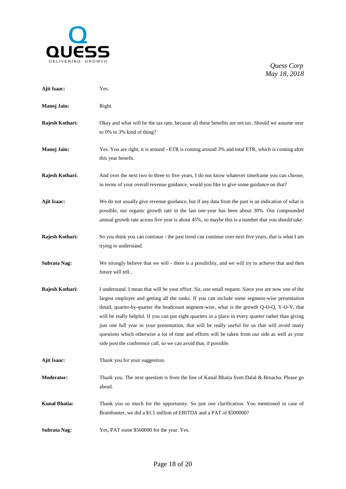

| <b>Ajit Isaac:</b>   | Yes.                                                                                                                                                                                                                                                                                                                                                                                                                                                                                                                                                                                                                                                                                    |
|----------------------|-----------------------------------------------------------------------------------------------------------------------------------------------------------------------------------------------------------------------------------------------------------------------------------------------------------------------------------------------------------------------------------------------------------------------------------------------------------------------------------------------------------------------------------------------------------------------------------------------------------------------------------------------------------------------------------------|
| Manoj Jain:          | Right.                                                                                                                                                                                                                                                                                                                                                                                                                                                                                                                                                                                                                                                                                  |
| Rajesh Kothari:      | Okay and what will be the tax rate, because all these benefits are net tax. Should we assume near<br>to 0% to 3% kind of thing?                                                                                                                                                                                                                                                                                                                                                                                                                                                                                                                                                         |
| Manoj Jain:          | Yes. You are right, it is around - ETR is coming around 3% and total ETR, which is coming after<br>this year benefit.                                                                                                                                                                                                                                                                                                                                                                                                                                                                                                                                                                   |
| Rajesh Kothari:      | And over the next two to three to five years, I do not know whatever timeframe you can choose,<br>in terms of your overall revenue guidance, would you like to give some guidance on that?                                                                                                                                                                                                                                                                                                                                                                                                                                                                                              |
| Ajit Isaac:          | We do not usually give revenue guidance, but if any data from the past is an indication of what is<br>possible, our organic growth rate in the last one-year has been about 30%. Our compounded<br>annual growth rate across five year is about 45%, so maybe this is a number that you should take.                                                                                                                                                                                                                                                                                                                                                                                    |
| Rajesh Kothari:      | So you think you can continue - the past trend can continue over next five years, that is what I am<br>trying to understand.                                                                                                                                                                                                                                                                                                                                                                                                                                                                                                                                                            |
| <b>Subrata Nag:</b>  | We strongly believe that we will - there is a possibility, and we will try to achieve that and then<br>future will tell                                                                                                                                                                                                                                                                                                                                                                                                                                                                                                                                                                 |
| Rajesh Kothari:      | I understand. I mean that will be your effort. Sir, one small request. Since you are now one of the<br>largest employer and getting all the ranks. If you can include some segment-wise presentation<br>detail, quarter-by-quarter the headcount segment-wise, what is the growth Q-O-Q, Y-O-Y, that<br>will be really helpful. If you can put eight quarters in a place in every quarter rather than giving<br>just one full year in your presentation, that will be really useful for us that will avoid many<br>questions which otherwise a lot of time and efforts will be taken from our side as well as your<br>side post the conference call, so we can avoid that, if possible. |
| <b>Ajit Isaac:</b>   | Thank you for your suggestion.                                                                                                                                                                                                                                                                                                                                                                                                                                                                                                                                                                                                                                                          |
| <b>Moderator:</b>    | Thank you. The next question is from the line of Kunal Bhatia from Dalal & Broacha. Please go<br>ahead.                                                                                                                                                                                                                                                                                                                                                                                                                                                                                                                                                                                 |
| <b>Kunal Bhatia:</b> | Thank you so much for the opportunity. So just one clarification. You mentioned in case of<br>Brainhunter, we did a \$1.5 million of EBITDA and a PAT of \$500000?                                                                                                                                                                                                                                                                                                                                                                                                                                                                                                                      |
| <b>Subrata Nag:</b>  | Yes, PAT some \$500000 for the year. Yes.                                                                                                                                                                                                                                                                                                                                                                                                                                                                                                                                                                                                                                               |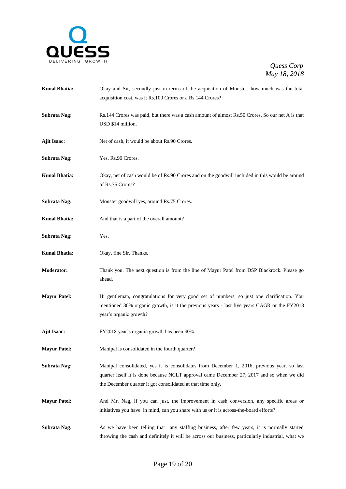

| <b>Kunal Bhatia:</b> | Okay and Sir, secondly just in terms of the acquisition of Monster, how much was the total<br>acquisition cost, was it Rs.100 Crores or a Rs.144 Crores?                                                                                               |
|----------------------|--------------------------------------------------------------------------------------------------------------------------------------------------------------------------------------------------------------------------------------------------------|
| <b>Subrata Nag:</b>  | Rs.144 Crores was paid, but there was a cash amount of almost Rs.50 Crores. So our net A is that<br>USD \$14 million.                                                                                                                                  |
| <b>Ajit Isaac:</b>   | Net of cash, it would be about Rs.90 Crores.                                                                                                                                                                                                           |
| <b>Subrata Nag:</b>  | Yes, Rs.90 Crores.                                                                                                                                                                                                                                     |
| <b>Kunal Bhatia:</b> | Okay, net of cash would be of Rs.90 Crores and on the goodwill included in this would be around<br>of Rs.75 Crores?                                                                                                                                    |
| <b>Subrata Nag:</b>  | Monster goodwill yes, around Rs.75 Crores.                                                                                                                                                                                                             |
| <b>Kunal Bhatia:</b> | And that is a part of the overall amount?                                                                                                                                                                                                              |
| <b>Subrata Nag:</b>  | Yes.                                                                                                                                                                                                                                                   |
| <b>Kunal Bhatia:</b> | Okay, fine Sir. Thanks.                                                                                                                                                                                                                                |
| <b>Moderator:</b>    | Thank you. The next question is from the line of Mayur Patel from DSP Blackrock. Please go<br>ahead.                                                                                                                                                   |
| <b>Mayur Patel:</b>  | Hi gentleman, congratulations for very good set of numbers, so just one clarification. You<br>mentioned 30% organic growth, is it the previous years - last five years CAGR or the FY2018<br>year's organic growth?                                    |
| <b>Ajit Isaac:</b>   | FY2018 year's organic growth has been 30%.                                                                                                                                                                                                             |
| <b>Mayur Patel:</b>  | Manipal is consolidated in the fourth quarter?                                                                                                                                                                                                         |
| Subrata Nag:         | Manipal consolidated, yes it is consolidates from December 1, 2016, previous year, so last<br>quarter itself it is done because NCLT approval came December 27, 2017 and so when we did<br>the December quarter it got consolidated at that time only. |
| <b>Mayur Patel:</b>  | And Mr. Nag, if you can just, the improvement in cash conversion, any specific areas or<br>initiatives you have in mind, can you share with us or it is across-the-board efforts?                                                                      |
| Subrata Nag:         | As we have been telling that any staffing business, after few years, it is normally started<br>throwing the cash and definitely it will be across our business, particularly industrial, what we                                                       |